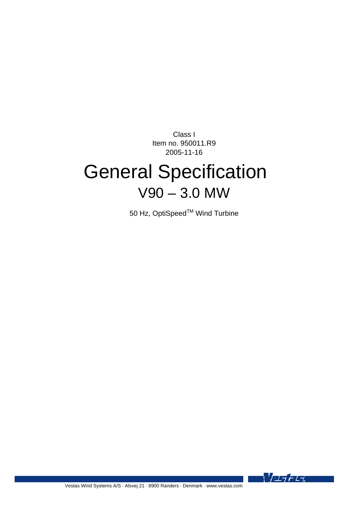Class I Item no. 950011.R9 2005-11-16

# General Specification V90 – 3.0 MW

50 Hz, OptiSpeed<sup>™</sup> Wind Turbine

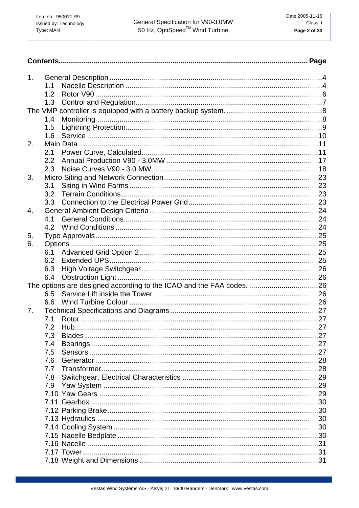| 1. |     |  |
|----|-----|--|
|    | 1.1 |  |
|    | 1.2 |  |
|    | 1.3 |  |
|    |     |  |
|    | 1.4 |  |
|    | 1.5 |  |
|    | 1.6 |  |
| 2. |     |  |
|    | 2.1 |  |
|    | 2.2 |  |
|    | 2.3 |  |
| 3. |     |  |
|    | 3.1 |  |
|    | 3.2 |  |
|    | 3.3 |  |
| 4. |     |  |
|    | 4.1 |  |
|    | 4.2 |  |
| 5. |     |  |
| 6. |     |  |
|    | 6.1 |  |
|    | 6.2 |  |
|    | 6.3 |  |
|    | 6.4 |  |
|    |     |  |
|    | 6.5 |  |
|    | 6.6 |  |
| 7. |     |  |
|    | 7.1 |  |
|    | 7.2 |  |
|    | 7.3 |  |
|    | 7.4 |  |
|    | 7.5 |  |
|    | 7.6 |  |
|    | 7.7 |  |
|    | 7.8 |  |
|    | 7.9 |  |
|    |     |  |
|    |     |  |
|    |     |  |
|    |     |  |
|    |     |  |
|    |     |  |
|    |     |  |
|    |     |  |
|    |     |  |
|    |     |  |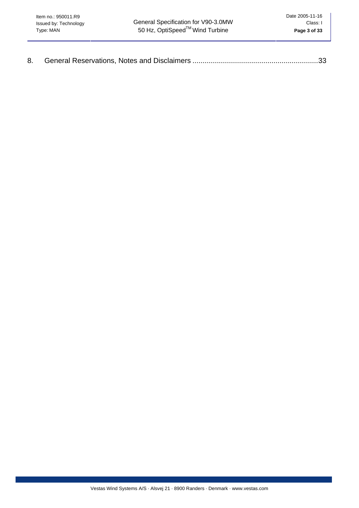| 8. |  |  |
|----|--|--|
|----|--|--|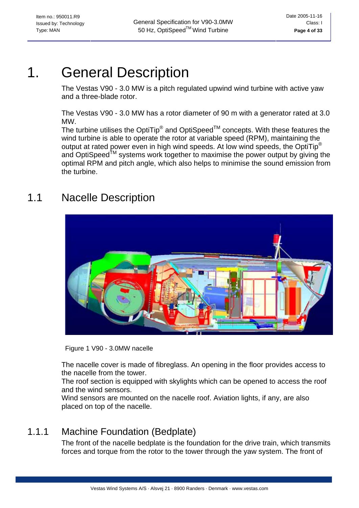# <span id="page-3-0"></span>1. General Description

The Vestas V90 - 3.0 MW is a pitch regulated upwind wind turbine with active yaw and a three-blade rotor.

The Vestas V90 - 3.0 MW has a rotor diameter of 90 m with a generator rated at 3.0 MW.

The turbine utilises the OptiTip<sup>®</sup> and OptiSpeed<sup>TM</sup> concepts. With these features the wind turbine is able to operate the rotor at variable speed (RPM), maintaining the output at rated power even in high wind speeds. At low wind speeds, the OptiTip® and OptiSpeed<sup>TM</sup> systems work together to maximise the power output by giving the optimal RPM and pitch angle, which also helps to minimise the sound emission from the turbine.

# 1.1 Nacelle Description



Figure 1 V90 - 3.0MW nacelle

The nacelle cover is made of fibreglass. An opening in the floor provides access to the nacelle from the tower.

The roof section is equipped with skylights which can be opened to access the roof and the wind sensors.

Wind sensors are mounted on the nacelle roof. Aviation lights, if any, are also placed on top of the nacelle.

# 1.1.1 Machine Foundation (Bedplate)

The front of the nacelle bedplate is the foundation for the drive train, which transmits forces and torque from the rotor to the tower through the yaw system. The front of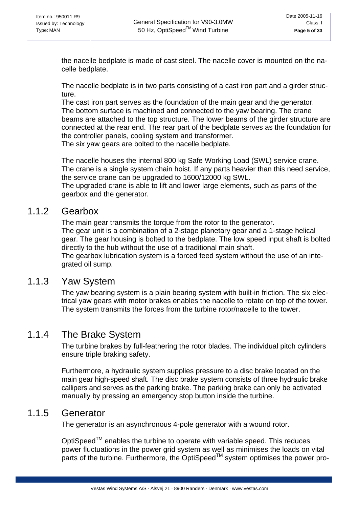the nacelle bedplate is made of cast steel. The nacelle cover is mounted on the nacelle bedplate.

The nacelle bedplate is in two parts consisting of a cast iron part and a girder structure.

The cast iron part serves as the foundation of the main gear and the generator. The bottom surface is machined and connected to the yaw bearing. The crane beams are attached to the top structure. The lower beams of the girder structure are connected at the rear end. The rear part of the bedplate serves as the foundation for the controller panels, cooling system and transformer.

The six yaw gears are bolted to the nacelle bedplate.

The nacelle houses the internal 800 kg Safe Working Load (SWL) service crane. The crane is a single system chain hoist. If any parts heavier than this need service, the service crane can be upgraded to 1600/12000 kg SWL.

The upgraded crane is able to lift and lower large elements, such as parts of the gearbox and the generator.

### 1.1.2 Gearbox

The main gear transmits the torque from the rotor to the generator. The gear unit is a combination of a 2-stage planetary gear and a 1-stage helical gear. The gear housing is bolted to the bedplate. The low speed input shaft is bolted directly to the hub without the use of a traditional main shaft.

The gearbox lubrication system is a forced feed system without the use of an integrated oil sump.

### 1.1.3 Yaw System

The yaw bearing system is a plain bearing system with built-in friction. The six electrical yaw gears with motor brakes enables the nacelle to rotate on top of the tower. The system transmits the forces from the turbine rotor/nacelle to the tower.

### 1.1.4 The Brake System

The turbine brakes by full-feathering the rotor blades. The individual pitch cylinders ensure triple braking safety.

Furthermore, a hydraulic system supplies pressure to a disc brake located on the main gear high-speed shaft. The disc brake system consists of three hydraulic brake callipers and serves as the parking brake. The parking brake can only be activated manually by pressing an emergency stop button inside the turbine.

### 1.1.5 Generator

The generator is an asynchronous 4-pole generator with a wound rotor.

OptiSpeed™ enables the turbine to operate with variable speed. This reduces power fluctuations in the power grid system as well as minimises the loads on vital parts of the turbine. Furthermore, the OptiSpeed™ system optimises the power pro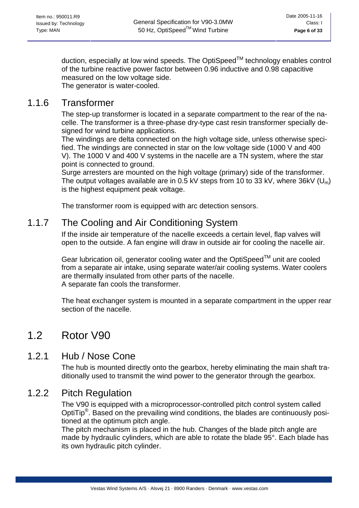<span id="page-5-0"></span>duction, especially at low wind speeds. The OptiSpeed™ technology enables control of the turbine reactive power factor between 0.96 inductive and 0.98 capacitive measured on the low voltage side. The generator is water-cooled.

### 1.1.6 Transformer

The step-up transformer is located in a separate compartment to the rear of the nacelle. The transformer is a three-phase dry-type cast resin transformer specially designed for wind turbine applications.

The windings are delta connected on the high voltage side, unless otherwise specified. The windings are connected in star on the low voltage side (1000 V and 400 V). The 1000 V and 400 V systems in the nacelle are a TN system, where the star point is connected to ground.

Surge arresters are mounted on the high voltage (primary) side of the transformer. The output voltages available are in 0.5 kV steps from 10 to 33 kV, where  $36kV$  (U<sub>m</sub>) is the highest equipment peak voltage.

The transformer room is equipped with arc detection sensors.

### 1.1.7 The Cooling and Air Conditioning System

If the inside air temperature of the nacelle exceeds a certain level, flap valves will open to the outside. A fan engine will draw in outside air for cooling the nacelle air.

Gear lubrication oil, generator cooling water and the OptiSpeed™ unit are cooled from a separate air intake, using separate water/air cooling systems. Water coolers are thermally insulated from other parts of the nacelle. A separate fan cools the transformer.

The heat exchanger system is mounted in a separate compartment in the upper rear section of the nacelle.

## 1.2 Rotor V90

### 1.2.1 Hub / Nose Cone

The hub is mounted directly onto the gearbox, hereby eliminating the main shaft traditionally used to transmit the wind power to the generator through the gearbox.

### 1.2.2 Pitch Regulation

The V90 is equipped with a microprocessor-controlled pitch control system called OptiTip®. Based on the prevailing wind conditions, the blades are continuously positioned at the optimum pitch angle.

The pitch mechanism is placed in the hub. Changes of the blade pitch angle are made by hydraulic cylinders, which are able to rotate the blade 95°. Each blade has its own hydraulic pitch cylinder.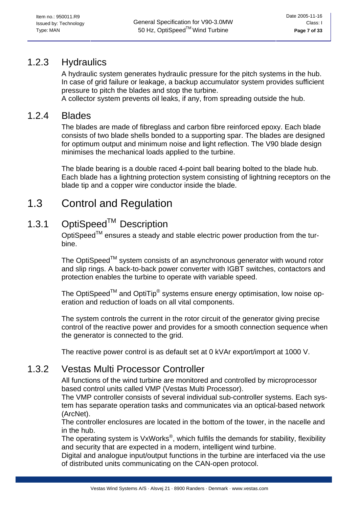### <span id="page-6-0"></span>1.2.3 Hydraulics

A hydraulic system generates hydraulic pressure for the pitch systems in the hub. In case of grid failure or leakage, a backup accumulator system provides sufficient pressure to pitch the blades and stop the turbine.

A collector system prevents oil leaks, if any, from spreading outside the hub.

### 1.2.4 Blades

The blades are made of fibreglass and carbon fibre reinforced epoxy. Each blade consists of two blade shells bonded to a supporting spar. The blades are designed for optimum output and minimum noise and light reflection. The V90 blade design minimises the mechanical loads applied to the turbine.

The blade bearing is a double raced 4-point ball bearing bolted to the blade hub. Each blade has a lightning protection system consisting of lightning receptors on the blade tip and a copper wire conductor inside the blade.

# 1.3 Control and Regulation

## 1.3.1 OptiSpeed™ Description

OptiSpeed<sup>TM</sup> ensures a steady and stable electric power production from the turbine.

The OptiSpeed<sup>TM</sup> system consists of an asynchronous generator with wound rotor and slip rings. A back-to-back power converter with IGBT switches, contactors and protection enables the turbine to operate with variable speed.

The OptiSpeed<sup>TM</sup> and OptiTip<sup>®</sup> systems ensure energy optimisation, low noise operation and reduction of loads on all vital components.

The system controls the current in the rotor circuit of the generator giving precise control of the reactive power and provides for a smooth connection sequence when the generator is connected to the grid.

The reactive power control is as default set at 0 kVAr export/import at 1000 V.

### 1.3.2 Vestas Multi Processor Controller

All functions of the wind turbine are monitored and controlled by microprocessor based control units called VMP (Vestas Multi Processor).

The VMP controller consists of several individual sub-controller systems. Each system has separate operation tasks and communicates via an optical-based network (ArcNet).

The controller enclosures are located in the bottom of the tower, in the nacelle and in the hub.

The operating system is  $VxWorks^{\circledast}$ , which fulfils the demands for stability, flexibility and security that are expected in a modern, intelligent wind turbine.

Digital and analogue input/output functions in the turbine are interfaced via the use of distributed units communicating on the CAN-open protocol.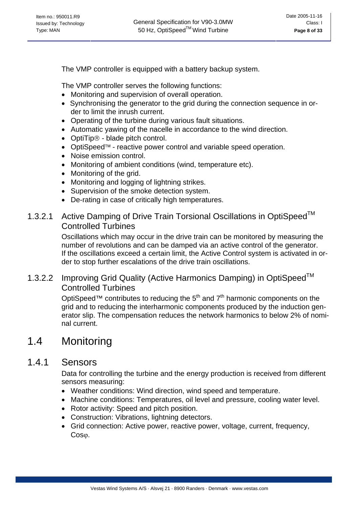<span id="page-7-0"></span>The VMP controller is equipped with a battery backup system.

The VMP controller serves the following functions:

- Monitoring and supervision of overall operation.
- Synchronising the generator to the grid during the connection sequence in or der to limit the inrush current.
- Operating of the turbine during various fault situations.
- Automatic yawing of the nacelle in accordance to the wind direction.
- OptiTip® blade pitch control.
- OptiSpeed™ reactive power control and variable speed operation.
- Noise emission control.
- Monitoring of ambient conditions (wind, temperature etc).
- Monitoring of the grid.
- Monitoring and logging of lightning strikes.
- Supervision of the smoke detection system.
- De-rating in case of critically high temperatures.

### 1.3.2.1 Active Damping of Drive Train Torsional Oscillations in OptiSpeed<sup>™</sup> Controlled Turbines

Oscillations which may occur in the drive train can be monitored by measuring the number of revolutions and can be damped via an active control of the generator. If the oscillations exceed a certain limit, the Active Control system is activated in order to stop further escalations of the drive train oscillations.

### 1.3.2.2 Improving Grid Quality (Active Harmonics Damping) in OptiSpeed<sup>™</sup> Controlled Turbines

OptiSpeed™ contributes to reducing the  $5<sup>th</sup>$  and  $7<sup>th</sup>$  harmonic components on the grid and to reducing the interharmonic components produced by the induction generator slip. The compensation reduces the network harmonics to below 2% of nominal current.

# 1.4 Monitoring

### 1.4.1 Sensors

Data for controlling the turbine and the energy production is received from different sensors measuring:

- Weather conditions: Wind direction, wind speed and temperature.
- Machine conditions: Temperatures, oil level and pressure, cooling water level.
- Rotor activity: Speed and pitch position.
- Construction: Vibrations, lightning detectors.
- Grid connection: Active power, reactive power, voltage, current, frequency, Cos<sub>Φ</sub>.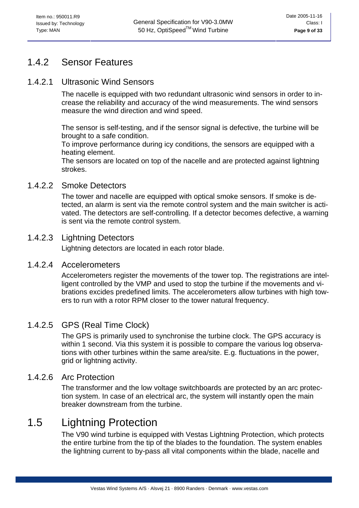### <span id="page-8-0"></span>1.4.2 Sensor Features

#### 1.4.2.1 Ultrasonic Wind Sensors

The nacelle is equipped with two redundant ultrasonic wind sensors in order to increase the reliability and accuracy of the wind measurements. The wind sensors measure the wind direction and wind speed.

The sensor is self-testing, and if the sensor signal is defective, the turbine will be brought to a safe condition.

To improve performance during icy conditions, the sensors are equipped with a heating element.

The sensors are located on top of the nacelle and are protected against lightning strokes.

#### 1.4.2.2 Smoke Detectors

The tower and nacelle are equipped with optical smoke sensors. If smoke is detected, an alarm is sent via the remote control system and the main switcher is activated. The detectors are self-controlling. If a detector becomes defective, a warning is sent via the remote control system.

#### 1.4.2.3 Lightning Detectors

Lightning detectors are located in each rotor blade.

#### 1.4.2.4 Accelerometers

Accelerometers register the movements of the tower top. The registrations are intelligent controlled by the VMP and used to stop the turbine if the movements and vibrations excides predefined limits. The accelerometers allow turbines with high towers to run with a rotor RPM closer to the tower natural frequency.

#### 1.4.2.5 GPS (Real Time Clock)

The GPS is primarily used to synchronise the turbine clock. The GPS accuracy is within 1 second. Via this system it is possible to compare the various log observations with other turbines within the same area/site. E.g. fluctuations in the power, grid or lightning activity.

#### 1.4.2.6 Arc Protection

The transformer and the low voltage switchboards are protected by an arc protection system. In case of an electrical arc, the system will instantly open the main breaker downstream from the turbine.

## 1.5 Lightning Protection

The V90 wind turbine is equipped with Vestas Lightning Protection, which protects the entire turbine from the tip of the blades to the foundation. The system enables the lightning current to by-pass all vital components within the blade, nacelle and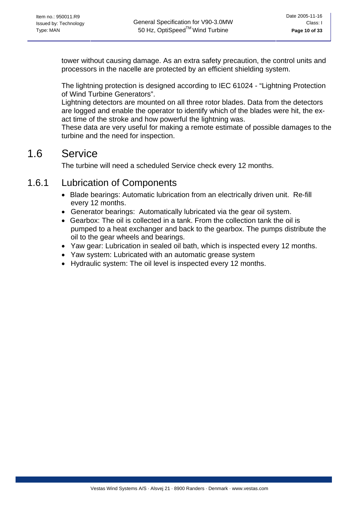<span id="page-9-0"></span>tower without causing damage. As an extra safety precaution, the control units and processors in the nacelle are protected by an efficient shielding system.

The lightning protection is designed according to IEC 61024 - "Lightning Protection of Wind Turbine Generators".

Lightning detectors are mounted on all three rotor blades. Data from the detectors are logged and enable the operator to identify which of the blades were hit, the exact time of the stroke and how powerful the lightning was.

These data are very useful for making a remote estimate of possible damages to the turbine and the need for inspection.

# 1.6 Service

The turbine will need a scheduled Service check every 12 months.

## 1.6.1 Lubrication of Components

- Blade bearings: Automatic lubrication from an electrically driven unit. Re-fill every 12 months.
- Generator bearings: Automatically lubricated via the gear oil system.
- Gearbox: The oil is collected in a tank. From the collection tank the oil is pumped to a heat exchanger and back to the gearbox. The pumps distribute the oil to the gear wheels and bearings.
- Yaw gear: Lubrication in sealed oil bath, which is inspected every 12 months.
- Yaw system: Lubricated with an automatic grease system
- Hydraulic system: The oil level is inspected every 12 months.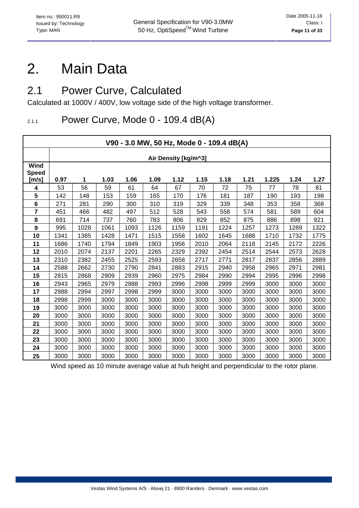# <span id="page-10-0"></span>2. Main Data

## 2.1 Power Curve, Calculated

Calculated at 1000V / 400V, low voltage side of the high voltage transformer.

## 2.1.1 Power Curve, Mode 0 - 109.4 dB(A)

| V90 - 3.0 MW, 50 Hz, Mode 0 - 109.4 dB(A) |                                                                                            |                      |      |      |      |      |      |      |      |      |      |      |  |
|-------------------------------------------|--------------------------------------------------------------------------------------------|----------------------|------|------|------|------|------|------|------|------|------|------|--|
|                                           |                                                                                            | Air Density [kg/m^3] |      |      |      |      |      |      |      |      |      |      |  |
| <b>Wind</b><br><b>Speed</b><br>[m/s]      | 1.12<br>1.15<br>1.18<br>1.21<br>1.225<br>1.24<br>1.27<br>0.97<br>1.03<br>1.06<br>1.09<br>1 |                      |      |      |      |      |      |      |      |      |      |      |  |
| 4                                         | 53                                                                                         | 56                   | 59   | 61   | 64   | 67   | 70   | 72   | 75   | 77   | 78   | 81   |  |
| 5                                         | 142                                                                                        | 148                  | 153  | 159  | 165  | 170  | 176  | 181  | 187  | 190  | 193  | 198  |  |
| 6                                         | 271                                                                                        | 281                  | 290  | 300  | 310  | 319  | 329  | 339  | 348  | 353  | 358  | 368  |  |
| 7                                         | 451                                                                                        | 466                  | 482  | 497  | 512  | 528  | 543  | 558  | 574  | 581  | 589  | 604  |  |
| 8                                         | 691                                                                                        | 714                  | 737  | 760  | 783  | 806  | 829  | 852  | 875  | 886  | 898  | 921  |  |
| 9                                         | 995                                                                                        | 1028                 | 1061 | 1093 | 1126 | 1159 | 1191 | 1224 | 1257 | 1273 | 1289 | 1322 |  |
| 10                                        | 1341                                                                                       | 1385                 | 1428 | 1471 | 1515 | 1558 | 1602 | 1645 | 1688 | 1710 | 1732 | 1775 |  |
| 11                                        | 1686                                                                                       | 1740                 | 1794 | 1849 | 1903 | 1956 | 2010 | 2064 | 2118 | 2145 | 2172 | 2226 |  |
| 12                                        | 2010                                                                                       | 2074                 | 2137 | 2201 | 2265 | 2329 | 2392 | 2454 | 2514 | 2544 | 2573 | 2628 |  |
| 13                                        | 2310                                                                                       | 2382                 | 2455 | 2525 | 2593 | 2658 | 2717 | 2771 | 2817 | 2837 | 2856 | 2889 |  |
| 14                                        | 2588                                                                                       | 2662                 | 2730 | 2790 | 2841 | 2883 | 2915 | 2940 | 2958 | 2965 | 2971 | 2981 |  |
| 15                                        | 2815                                                                                       | 2868                 | 2909 | 2939 | 2960 | 2975 | 2984 | 2990 | 2994 | 2995 | 2996 | 2998 |  |
| 16                                        | 2943                                                                                       | 2965                 | 2979 | 2988 | 2993 | 2996 | 2998 | 2999 | 2999 | 3000 | 3000 | 3000 |  |
| 17                                        | 2988                                                                                       | 2994                 | 2997 | 2998 | 2999 | 3000 | 3000 | 3000 | 3000 | 3000 | 3000 | 3000 |  |
| 18                                        | 2998                                                                                       | 2999                 | 3000 | 3000 | 3000 | 3000 | 3000 | 3000 | 3000 | 3000 | 3000 | 3000 |  |
| 19                                        | 3000                                                                                       | 3000                 | 3000 | 3000 | 3000 | 3000 | 3000 | 3000 | 3000 | 3000 | 3000 | 3000 |  |
| 20                                        | 3000                                                                                       | 3000                 | 3000 | 3000 | 3000 | 3000 | 3000 | 3000 | 3000 | 3000 | 3000 | 3000 |  |
| 21                                        | 3000                                                                                       | 3000                 | 3000 | 3000 | 3000 | 3000 | 3000 | 3000 | 3000 | 3000 | 3000 | 3000 |  |
| 22                                        | 3000                                                                                       | 3000                 | 3000 | 3000 | 3000 | 3000 | 3000 | 3000 | 3000 | 3000 | 3000 | 3000 |  |
| 23                                        | 3000                                                                                       | 3000                 | 3000 | 3000 | 3000 | 3000 | 3000 | 3000 | 3000 | 3000 | 3000 | 3000 |  |
| 24                                        | 3000                                                                                       | 3000                 | 3000 | 3000 | 3000 | 3000 | 3000 | 3000 | 3000 | 3000 | 3000 | 3000 |  |
| 25                                        | 3000                                                                                       | 3000                 | 3000 | 3000 | 3000 | 3000 | 3000 | 3000 | 3000 | 3000 | 3000 | 3000 |  |

Wind speed as 10 minute average value at hub height and perpendicular to the rotor plane.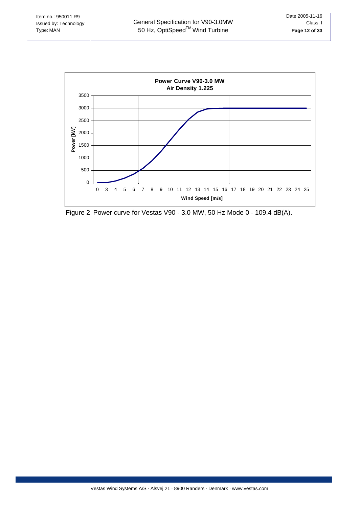

Figure 2 Power curve for Vestas V90 - 3.0 MW, 50 Hz Mode 0 - 109.4 dB(A).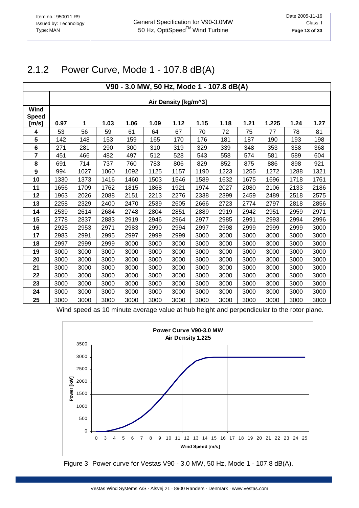### 2.1.2 Power Curve, Mode 1 - 107.8 dB(A)

| V90 - 3.0 MW, 50 Hz, Mode 1 - 107.8 dB(A) |      |                      |      |      |      |      |      |      |      |       |      |      |
|-------------------------------------------|------|----------------------|------|------|------|------|------|------|------|-------|------|------|
|                                           |      |                      |      |      |      |      |      |      |      |       |      |      |
| <b>Wind</b>                               |      | Air Density [kg/m^3] |      |      |      |      |      |      |      |       |      |      |
| <b>Speed</b>                              |      |                      |      |      |      |      |      |      |      |       |      |      |
| [m/s]                                     | 0.97 | 1                    | 1.03 | 1.06 | 1.09 | 1.12 | 1.15 | 1.18 | 1.21 | 1.225 | 1.24 | 1.27 |
| 4                                         | 53   | 56                   | 59   | 61   | 64   | 67   | 70   | 72   | 75   | 77    | 78   | 81   |
| 5                                         | 142  | 148                  | 153  | 159  | 165  | 170  | 176  | 181  | 187  | 190   | 193  | 198  |
| 6                                         | 271  | 281                  | 290  | 300  | 310  | 319  | 329  | 339  | 348  | 353   | 358  | 368  |
| $\overline{7}$                            | 451  | 466                  | 482  | 497  | 512  | 528  | 543  | 558  | 574  | 581   | 589  | 604  |
| 8                                         | 691  | 714                  | 737  | 760  | 783  | 806  | 829  | 852  | 875  | 886   | 898  | 921  |
| $\boldsymbol{9}$                          | 994  | 1027                 | 1060 | 1092 | 1125 | 1157 | 1190 | 1223 | 1255 | 1272  | 1288 | 1321 |
| 10                                        | 1330 | 1373                 | 1416 | 1460 | 1503 | 1546 | 1589 | 1632 | 1675 | 1696  | 1718 | 1761 |
| 11                                        | 1656 | 1709                 | 1762 | 1815 | 1868 | 1921 | 1974 | 2027 | 2080 | 2106  | 2133 | 2186 |
| 12                                        | 1963 | 2026                 | 2088 | 2151 | 2213 | 2276 | 2338 | 2399 | 2459 | 2489  | 2518 | 2575 |
| 13                                        | 2258 | 2329                 | 2400 | 2470 | 2539 | 2605 | 2666 | 2723 | 2774 | 2797  | 2818 | 2856 |
| 14                                        | 2539 | 2614                 | 2684 | 2748 | 2804 | 2851 | 2889 | 2919 | 2942 | 2951  | 2959 | 2971 |
| 15                                        | 2778 | 2837                 | 2883 | 2919 | 2946 | 2964 | 2977 | 2985 | 2991 | 2993  | 2994 | 2996 |
| 16                                        | 2925 | 2953                 | 2971 | 2983 | 2990 | 2994 | 2997 | 2998 | 2999 | 2999  | 2999 | 3000 |
| 17                                        | 2983 | 2991                 | 2995 | 2997 | 2999 | 2999 | 3000 | 3000 | 3000 | 3000  | 3000 | 3000 |
| 18                                        | 2997 | 2999                 | 2999 | 3000 | 3000 | 3000 | 3000 | 3000 | 3000 | 3000  | 3000 | 3000 |
| 19                                        | 3000 | 3000                 | 3000 | 3000 | 3000 | 3000 | 3000 | 3000 | 3000 | 3000  | 3000 | 3000 |
| 20                                        | 3000 | 3000                 | 3000 | 3000 | 3000 | 3000 | 3000 | 3000 | 3000 | 3000  | 3000 | 3000 |
| 21                                        | 3000 | 3000                 | 3000 | 3000 | 3000 | 3000 | 3000 | 3000 | 3000 | 3000  | 3000 | 3000 |
| 22                                        | 3000 | 3000                 | 3000 | 3000 | 3000 | 3000 | 3000 | 3000 | 3000 | 3000  | 3000 | 3000 |
| 23                                        | 3000 | 3000                 | 3000 | 3000 | 3000 | 3000 | 3000 | 3000 | 3000 | 3000  | 3000 | 3000 |
| 24                                        | 3000 | 3000                 | 3000 | 3000 | 3000 | 3000 | 3000 | 3000 | 3000 | 3000  | 3000 | 3000 |
| 25                                        | 3000 | 3000                 | 3000 | 3000 | 3000 | 3000 | 3000 | 3000 | 3000 | 3000  | 3000 | 3000 |

Wind speed as 10 minute average value at hub height and perpendicular to the rotor plane.



Figure 3 Power curve for Vestas V90 - 3.0 MW, 50 Hz, Mode 1 - 107.8 dB(A).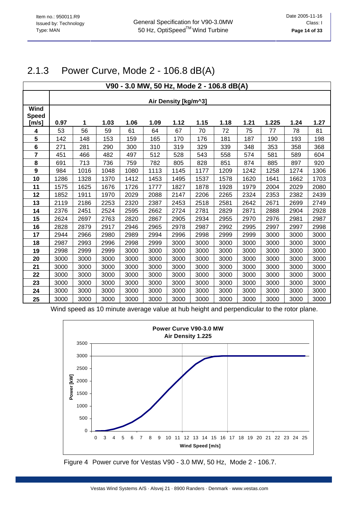## 2.1.3 Power Curve, Mode 2 - 106.8 dB(A)

| V90 - 3.0 MW, 50 Hz, Mode 2 - 106.8 dB(A) |      |                      |      |      |      |      |      |      |      |       |      |      |  |
|-------------------------------------------|------|----------------------|------|------|------|------|------|------|------|-------|------|------|--|
|                                           |      |                      |      |      |      |      |      |      |      |       |      |      |  |
| Wind                                      |      | Air Density [kg/m^3] |      |      |      |      |      |      |      |       |      |      |  |
| <b>Speed</b>                              |      |                      |      |      |      |      |      |      |      |       |      |      |  |
| [m/s]                                     | 0.97 | 1                    | 1.03 | 1.06 | 1.09 | 1.12 | 1.15 | 1.18 | 1.21 | 1.225 | 1.24 | 1.27 |  |
| 4                                         | 53   | 56                   | 59   | 61   | 64   | 67   | 70   | 72   | 75   | 77    | 78   | 81   |  |
| $\overline{\mathbf{5}}$                   | 142  | 148                  | 153  | 159  | 165  | 170  | 176  | 181  | 187  | 190   | 193  | 198  |  |
| 6                                         | 271  | 281                  | 290  | 300  | 310  | 319  | 329  | 339  | 348  | 353   | 358  | 368  |  |
| $\overline{7}$                            | 451  | 466                  | 482  | 497  | 512  | 528  | 543  | 558  | 574  | 581   | 589  | 604  |  |
| 8                                         | 691  | 713                  | 736  | 759  | 782  | 805  | 828  | 851  | 874  | 885   | 897  | 920  |  |
| 9                                         | 984  | 1016                 | 1048 | 1080 | 1113 | 1145 | 1177 | 1209 | 1242 | 1258  | 1274 | 1306 |  |
| 10                                        | 1286 | 1328                 | 1370 | 1412 | 1453 | 1495 | 1537 | 1578 | 1620 | 1641  | 1662 | 1703 |  |
| 11                                        | 1575 | 1625                 | 1676 | 1726 | 1777 | 1827 | 1878 | 1928 | 1979 | 2004  | 2029 | 2080 |  |
| 12                                        | 1852 | 1911                 | 1970 | 2029 | 2088 | 2147 | 2206 | 2265 | 2324 | 2353  | 2382 | 2439 |  |
| 13                                        | 2119 | 2186                 | 2253 | 2320 | 2387 | 2453 | 2518 | 2581 | 2642 | 2671  | 2699 | 2749 |  |
| 14                                        | 2376 | 2451                 | 2524 | 2595 | 2662 | 2724 | 2781 | 2829 | 2871 | 2888  | 2904 | 2928 |  |
| 15                                        | 2624 | 2697                 | 2763 | 2820 | 2867 | 2905 | 2934 | 2955 | 2970 | 2976  | 2981 | 2987 |  |
| 16                                        | 2828 | 2879                 | 2917 | 2946 | 2965 | 2978 | 2987 | 2992 | 2995 | 2997  | 2997 | 2998 |  |
| 17                                        | 2944 | 2966                 | 2980 | 2989 | 2994 | 2996 | 2998 | 2999 | 2999 | 3000  | 3000 | 3000 |  |
| 18                                        | 2987 | 2993                 | 2996 | 2998 | 2999 | 3000 | 3000 | 3000 | 3000 | 3000  | 3000 | 3000 |  |
| 19                                        | 2998 | 2999                 | 2999 | 3000 | 3000 | 3000 | 3000 | 3000 | 3000 | 3000  | 3000 | 3000 |  |
| 20                                        | 3000 | 3000                 | 3000 | 3000 | 3000 | 3000 | 3000 | 3000 | 3000 | 3000  | 3000 | 3000 |  |
| 21                                        | 3000 | 3000                 | 3000 | 3000 | 3000 | 3000 | 3000 | 3000 | 3000 | 3000  | 3000 | 3000 |  |
| 22                                        | 3000 | 3000                 | 3000 | 3000 | 3000 | 3000 | 3000 | 3000 | 3000 | 3000  | 3000 | 3000 |  |
| 23                                        | 3000 | 3000                 | 3000 | 3000 | 3000 | 3000 | 3000 | 3000 | 3000 | 3000  | 3000 | 3000 |  |
| 24                                        | 3000 | 3000                 | 3000 | 3000 | 3000 | 3000 | 3000 | 3000 | 3000 | 3000  | 3000 | 3000 |  |
| 25                                        | 3000 | 3000                 | 3000 | 3000 | 3000 | 3000 | 3000 | 3000 | 3000 | 3000  | 3000 | 3000 |  |

Wind speed as 10 minute average value at hub height and perpendicular to the rotor plane.



Figure 4 Power curve for Vestas V90 - 3.0 MW, 50 Hz, Mode 2 - 106.7.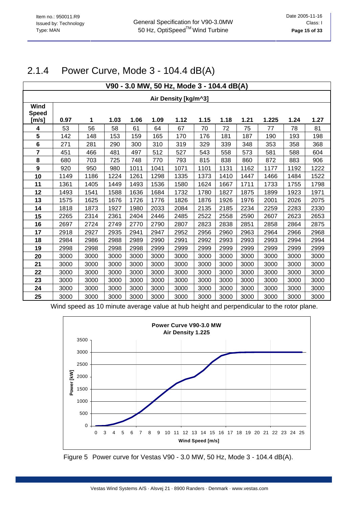## 2.1.4 Power Curve, Mode 3 - 104.4 dB(A)

| V90 - 3.0 MW, 50 Hz, Mode 3 - 104.4 dB(A) |                      |      |      |      |      |      |      |      |      |       |      |      |
|-------------------------------------------|----------------------|------|------|------|------|------|------|------|------|-------|------|------|
|                                           | Air Density [kg/m^3] |      |      |      |      |      |      |      |      |       |      |      |
| Wind<br><b>Speed</b><br>[m/s]             | 0.97                 | 1    | 1.03 | 1.06 | 1.09 | 1.12 | 1.15 | 1.18 | 1.21 | 1.225 | 1.24 | 1.27 |
| 4                                         | 53                   | 56   | 58   | 61   | 64   | 67   | 70   | 72   | 75   | 77    | 78   | 81   |
| 5                                         | 142                  | 148  | 153  | 159  | 165  | 170  | 176  | 181  | 187  | 190   | 193  | 198  |
| 6                                         | 271                  | 281  | 290  | 300  | 310  | 319  | 329  | 339  | 348  | 353   | 358  | 368  |
| $\overline{7}$                            | 451                  | 466  | 481  | 497  | 512  | 527  | 543  | 558  | 573  | 581   | 588  | 604  |
| 8                                         | 680                  | 703  | 725  | 748  | 770  | 793  | 815  | 838  | 860  | 872   | 883  | 906  |
| $\boldsymbol{9}$                          | 920                  | 950  | 980  | 1011 | 1041 | 1071 | 1101 | 1131 | 1162 | 1177  | 1192 | 1222 |
| 10                                        | 1149                 | 1186 | 1224 | 1261 | 1298 | 1335 | 1373 | 1410 | 1447 | 1466  | 1484 | 1522 |
| 11                                        | 1361                 | 1405 | 1449 | 1493 | 1536 | 1580 | 1624 | 1667 | 1711 | 1733  | 1755 | 1798 |
| 12                                        | 1493                 | 1541 | 1588 | 1636 | 1684 | 1732 | 1780 | 1827 | 1875 | 1899  | 1923 | 1971 |
| 13                                        | 1575                 | 1625 | 1676 | 1726 | 1776 | 1826 | 1876 | 1926 | 1976 | 2001  | 2026 | 2075 |
| 14                                        | 1818                 | 1873 | 1927 | 1980 | 2033 | 2084 | 2135 | 2185 | 2234 | 2259  | 2283 | 2330 |
| 15                                        | 2265                 | 2314 | 2361 | 2404 | 2446 | 2485 | 2522 | 2558 | 2590 | 2607  | 2623 | 2653 |
| 16                                        | 2697                 | 2724 | 2749 | 2770 | 2790 | 2807 | 2823 | 2838 | 2851 | 2858  | 2864 | 2875 |
| 17                                        | 2918                 | 2927 | 2935 | 2941 | 2947 | 2952 | 2956 | 2960 | 2963 | 2964  | 2966 | 2968 |
| 18                                        | 2984                 | 2986 | 2988 | 2989 | 2990 | 2991 | 2992 | 2993 | 2993 | 2993  | 2994 | 2994 |
| 19                                        | 2998                 | 2998 | 2998 | 2998 | 2999 | 2999 | 2999 | 2999 | 2999 | 2999  | 2999 | 2999 |
| 20                                        | 3000                 | 3000 | 3000 | 3000 | 3000 | 3000 | 3000 | 3000 | 3000 | 3000  | 3000 | 3000 |
| 21                                        | 3000                 | 3000 | 3000 | 3000 | 3000 | 3000 | 3000 | 3000 | 3000 | 3000  | 3000 | 3000 |
| 22                                        | 3000                 | 3000 | 3000 | 3000 | 3000 | 3000 | 3000 | 3000 | 3000 | 3000  | 3000 | 3000 |
| 23                                        | 3000                 | 3000 | 3000 | 3000 | 3000 | 3000 | 3000 | 3000 | 3000 | 3000  | 3000 | 3000 |
| 24                                        | 3000                 | 3000 | 3000 | 3000 | 3000 | 3000 | 3000 | 3000 | 3000 | 3000  | 3000 | 3000 |
| 25                                        | 3000                 | 3000 | 3000 | 3000 | 3000 | 3000 | 3000 | 3000 | 3000 | 3000  | 3000 | 3000 |

Wind speed as 10 minute average value at hub height and perpendicular to the rotor plane.



Figure 5 Power curve for Vestas V90 - 3.0 MW, 50 Hz, Mode 3 - 104.4 dB(A).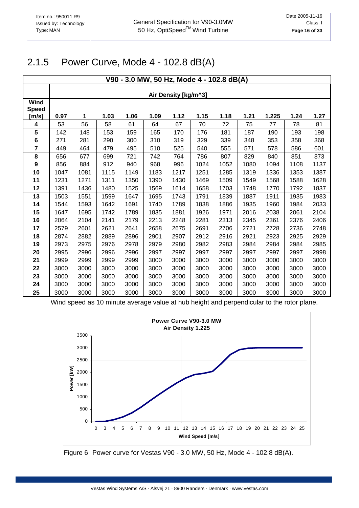### 2.1.5 Power Curve, Mode 4 - 102.8 dB(A)

| V90 - 3.0 MW, 50 Hz, Mode 4 - 102.8 dB(A) |                      |      |      |      |      |      |      |      |      |       |      |      |
|-------------------------------------------|----------------------|------|------|------|------|------|------|------|------|-------|------|------|
|                                           |                      |      |      |      |      |      |      |      |      |       |      |      |
| <b>Wind</b><br><b>Speed</b>               | Air Density [kg/m^3] |      |      |      |      |      |      |      |      |       |      |      |
| [m/s]                                     | 0.97                 | 1    | 1.03 | 1.06 | 1.09 | 1.12 | 1.15 | 1.18 | 1.21 | 1.225 | 1.24 | 1.27 |
| 4                                         | 53                   | 56   | 58   | 61   | 64   | 67   | 70   | 72   | 75   | 77    | 78   | 81   |
| 5                                         | 142                  | 148  | 153  | 159  | 165  | 170  | 176  | 181  | 187  | 190   | 193  | 198  |
| 6                                         | 271                  | 281  | 290  | 300  | 310  | 319  | 329  | 339  | 348  | 353   | 358  | 368  |
| $\overline{7}$                            | 449                  | 464  | 479  | 495  | 510  | 525  | 540  | 555  | 571  | 578   | 586  | 601  |
| 8                                         | 656                  | 677  | 699  | 721  | 742  | 764  | 786  | 807  | 829  | 840   | 851  | 873  |
| $\boldsymbol{9}$                          | 856                  | 884  | 912  | 940  | 968  | 996  | 1024 | 1052 | 1080 | 1094  | 1108 | 1137 |
| 10                                        | 1047                 | 1081 | 1115 | 1149 | 1183 | 1217 | 1251 | 1285 | 1319 | 1336  | 1353 | 1387 |
| 11                                        | 1231                 | 1271 | 1311 | 1350 | 1390 | 1430 | 1469 | 1509 | 1549 | 1568  | 1588 | 1628 |
| 12                                        | 1391                 | 1436 | 1480 | 1525 | 1569 | 1614 | 1658 | 1703 | 1748 | 1770  | 1792 | 1837 |
| 13                                        | 1503                 | 1551 | 1599 | 1647 | 1695 | 1743 | 1791 | 1839 | 1887 | 1911  | 1935 | 1983 |
| 14                                        | 1544                 | 1593 | 1642 | 1691 | 1740 | 1789 | 1838 | 1886 | 1935 | 1960  | 1984 | 2033 |
| 15                                        | 1647                 | 1695 | 1742 | 1789 | 1835 | 1881 | 1926 | 1971 | 2016 | 2038  | 2061 | 2104 |
| 16                                        | 2064                 | 2104 | 2141 | 2179 | 2213 | 2248 | 2281 | 2313 | 2345 | 2361  | 2376 | 2406 |
| 17                                        | 2579                 | 2601 | 2621 | 2641 | 2658 | 2675 | 2691 | 2706 | 2721 | 2728  | 2736 | 2748 |
| 18                                        | 2874                 | 2882 | 2889 | 2896 | 2901 | 2907 | 2912 | 2916 | 2921 | 2923  | 2925 | 2929 |
| 19                                        | 2973                 | 2975 | 2976 | 2978 | 2979 | 2980 | 2982 | 2983 | 2984 | 2984  | 2984 | 2985 |
| 20                                        | 2995                 | 2996 | 2996 | 2996 | 2997 | 2997 | 2997 | 2997 | 2997 | 2997  | 2997 | 2998 |
| 21                                        | 2999                 | 2999 | 2999 | 2999 | 3000 | 3000 | 3000 | 3000 | 3000 | 3000  | 3000 | 3000 |
| 22                                        | 3000                 | 3000 | 3000 | 3000 | 3000 | 3000 | 3000 | 3000 | 3000 | 3000  | 3000 | 3000 |
| 23                                        | 3000                 | 3000 | 3000 | 3000 | 3000 | 3000 | 3000 | 3000 | 3000 | 3000  | 3000 | 3000 |
| 24                                        | 3000                 | 3000 | 3000 | 3000 | 3000 | 3000 | 3000 | 3000 | 3000 | 3000  | 3000 | 3000 |
| 25                                        | 3000                 | 3000 | 3000 | 3000 | 3000 | 3000 | 3000 | 3000 | 3000 | 3000  | 3000 | 3000 |

Wind speed as 10 minute average value at hub height and perpendicular to the rotor plane.



Figure 6 Power curve for Vestas V90 - 3.0 MW, 50 Hz, Mode 4 - 102.8 dB(A).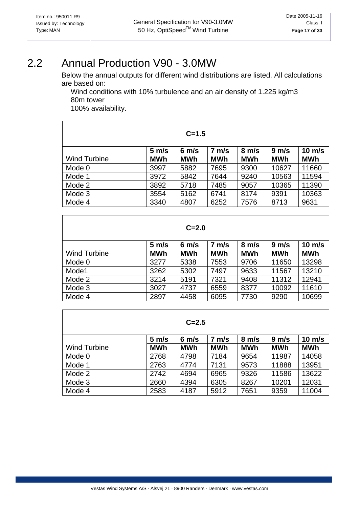# <span id="page-16-0"></span>2.2 Annual Production V90 - 3.0MW

Below the annual outputs for different wind distributions are listed. All calculations are based on:

Wind conditions with 10% turbulence and an air density of 1.225 kg/m3 80m tower

100% availability.

| $C = 1.5$           |                   |                   |                   |                   |            |                  |  |  |  |  |
|---------------------|-------------------|-------------------|-------------------|-------------------|------------|------------------|--|--|--|--|
|                     | $5 \, \text{m/s}$ | $6 \, \text{m/s}$ | $7 \, \text{m/s}$ | $8 \, \text{m/s}$ | 9 m/s      | $10 \text{ m/s}$ |  |  |  |  |
| <b>Wind Turbine</b> | <b>MWh</b>        | <b>MWh</b>        | <b>MWh</b>        | <b>MWh</b>        | <b>MWh</b> | <b>MWh</b>       |  |  |  |  |
| Mode 0              | 3997              | 5882              | 7695              | 9300              | 10627      | 11660            |  |  |  |  |
| Mode 1              | 3972              | 5842              | 7644              | 9240              | 10563      | 11594            |  |  |  |  |
| Mode 2              | 3892              | 5718              | 7485              | 9057              | 10365      | 11390            |  |  |  |  |
| Mode 3              | 3554              | 5162              | 6741              | 8174              | 9391       | 10363            |  |  |  |  |
| Mode 4              | 3340              | 4807              | 6252              | 7576              | 8713       | 9631             |  |  |  |  |

| $C = 2.0$           |                   |                   |            |                   |                   |                  |  |  |  |  |
|---------------------|-------------------|-------------------|------------|-------------------|-------------------|------------------|--|--|--|--|
|                     | $5 \, \text{m/s}$ | $6 \, \text{m/s}$ | m/s<br>7   | $8 \, \text{m/s}$ | $9 \, \text{m/s}$ | $10 \text{ m/s}$ |  |  |  |  |
| <b>Wind Turbine</b> | <b>MWh</b>        | <b>MWh</b>        | <b>MWh</b> | <b>MWh</b>        | <b>MWh</b>        | <b>MWh</b>       |  |  |  |  |
| Mode 0              | 3277              | 5338              | 7553       | 9706              | 11650             | 13298            |  |  |  |  |
| Mode1               | 3262              | 5302              | 7497       | 9633              | 11567             | 13210            |  |  |  |  |
| Mode 2              | 3214              | 5191              | 7321       | 9408              | 11312             | 12941            |  |  |  |  |
| Mode 3              | 3027              | 4737              | 6559       | 8377              | 10092             | 11610            |  |  |  |  |
| Mode 4              | 2897              | 4458              | 6095       | 7730              | 9290              | 10699            |  |  |  |  |

| $C = 2.5$           |                   |                   |                   |                   |            |                  |  |  |  |  |  |
|---------------------|-------------------|-------------------|-------------------|-------------------|------------|------------------|--|--|--|--|--|
|                     | $5 \, \text{m/s}$ | $6 \, \text{m/s}$ | $7 \, \text{m/s}$ | $8 \, \text{m/s}$ | 9 m/s      | $10 \text{ m/s}$ |  |  |  |  |  |
| <b>Wind Turbine</b> | MWh               | <b>MWh</b>        | <b>MWh</b>        | <b>MWh</b>        | <b>MWh</b> | <b>MWh</b>       |  |  |  |  |  |
| Mode 0              | 2768              | 4798              | 7184              | 9654              | 11987      | 14058            |  |  |  |  |  |
| Mode 1              | 2763              | 4774              | 7131              | 9573              | 11888      | 13951            |  |  |  |  |  |
| Mode 2              | 2742              | 4694              | 6965              | 9326              | 11586      | 13622            |  |  |  |  |  |
| Mode 3              | 2660              | 4394              | 6305              | 8267              | 10201      | 12031            |  |  |  |  |  |
| Mode 4              | 2583              | 4187              | 5912              | 7651              | 9359       | 11004            |  |  |  |  |  |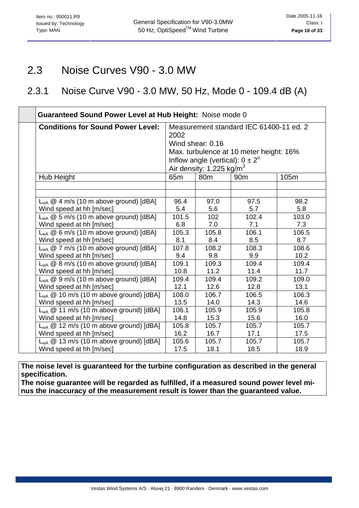## <span id="page-17-0"></span>2.3 Noise Curves V90 - 3.0 MW

## 2.3.1 Noise Curve V90 - 3.0 MW, 50 Hz, Mode 0 - 109.4 dB (A)

| <b>Guaranteed Sound Power Level at Hub Height: Noise mode 0</b> |                                                                                                                                                                                                      |       |       |       |  |  |  |  |  |
|-----------------------------------------------------------------|------------------------------------------------------------------------------------------------------------------------------------------------------------------------------------------------------|-------|-------|-------|--|--|--|--|--|
| <b>Conditions for Sound Power Level:</b>                        | Measurement standard IEC 61400-11 ed. 2<br>2002<br>Wind shear: 0.16<br>Max. turbulence at 10 meter height: 16%<br>Inflow angle (vertical): $0 \pm 2^{\circ}$<br>Air density: 1.225 kg/m <sup>3</sup> |       |       |       |  |  |  |  |  |
| Hub Height                                                      | 65 <sub>m</sub><br>80 <sub>m</sub><br>105m<br>90 <sub>m</sub>                                                                                                                                        |       |       |       |  |  |  |  |  |
|                                                                 |                                                                                                                                                                                                      |       |       |       |  |  |  |  |  |
|                                                                 |                                                                                                                                                                                                      |       |       |       |  |  |  |  |  |
| $L_{WA}$ @ 4 m/s (10 m above ground) [dBA]                      | 96.4                                                                                                                                                                                                 | 97.0  | 97.5  | 98.2  |  |  |  |  |  |
| Wind speed at hh [m/sec]                                        | 5.4                                                                                                                                                                                                  | 5.6   | 5.7   | 5.8   |  |  |  |  |  |
| $L_{WA}$ @ 5 m/s (10 m above ground) [dBA]                      | 101.5                                                                                                                                                                                                | 102   | 102.4 | 103.0 |  |  |  |  |  |
| Wind speed at hh [m/sec]                                        | 6.8                                                                                                                                                                                                  | 7.0   | 7.1   | 7.3   |  |  |  |  |  |
| $L_{WA}$ @ 6 m/s (10 m above ground) [dBA]                      | 105.3                                                                                                                                                                                                | 105.8 | 106.1 | 106.5 |  |  |  |  |  |
| Wind speed at hh [m/sec]                                        | 8.1                                                                                                                                                                                                  | 8.4   | 8.5   | 8.7   |  |  |  |  |  |
| $L_{WA}$ @ 7 m/s (10 m above ground) [dBA]                      | 107.8                                                                                                                                                                                                | 108.2 | 108.3 | 108.6 |  |  |  |  |  |
| Wind speed at hh [m/sec]                                        | 9.4                                                                                                                                                                                                  | 9.8   | 9.9   | 10.2  |  |  |  |  |  |
| $L_{WA}$ @ 8 m/s (10 m above ground) [dBA]                      | 109.1                                                                                                                                                                                                | 109.3 | 109.4 | 109.4 |  |  |  |  |  |
| Wind speed at hh [m/sec]                                        | 10.8                                                                                                                                                                                                 | 11.2  | 11.4  | 11.7  |  |  |  |  |  |
| L <sub>wA</sub> @ 9 m/s (10 m above ground) [dBA]               | 109.4                                                                                                                                                                                                | 109.4 | 109.2 | 109.0 |  |  |  |  |  |
| Wind speed at hh [m/sec]                                        | 12.1                                                                                                                                                                                                 | 12.6  | 12.8  | 13.1  |  |  |  |  |  |
| $L_{WA}$ @ 10 m/s (10 m above ground) [dBA]                     | 108.0                                                                                                                                                                                                | 106.7 | 106.5 | 106.3 |  |  |  |  |  |
| Wind speed at hh [m/sec]                                        | 13.5                                                                                                                                                                                                 | 14.0  | 14.3  | 14.6  |  |  |  |  |  |
| $L_{WA}$ @ 11 m/s (10 m above ground) [dBA]                     | 106.1                                                                                                                                                                                                | 105.9 | 105.9 | 105.8 |  |  |  |  |  |
| Wind speed at hh [m/sec]                                        | 14.8                                                                                                                                                                                                 | 15.3  | 15.6  | 16.0  |  |  |  |  |  |
| $L_{WA}$ @ 12 m/s (10 m above ground) [dBA]                     | 105.8                                                                                                                                                                                                | 105.7 | 105.7 | 105.7 |  |  |  |  |  |
| Wind speed at hh [m/sec]                                        | 16.2                                                                                                                                                                                                 | 16.7  | 17.1  | 17.5  |  |  |  |  |  |
| $L_{WA}$ @ 13 m/s (10 m above ground) [dBA]                     | 105.6                                                                                                                                                                                                | 105.7 | 105.7 | 105.7 |  |  |  |  |  |
| Wind speed at hh [m/sec]                                        | 17.5                                                                                                                                                                                                 | 18.1  | 18.5  | 18.9  |  |  |  |  |  |

**The noise level is guaranteed for the turbine configuration as described in the general specification.**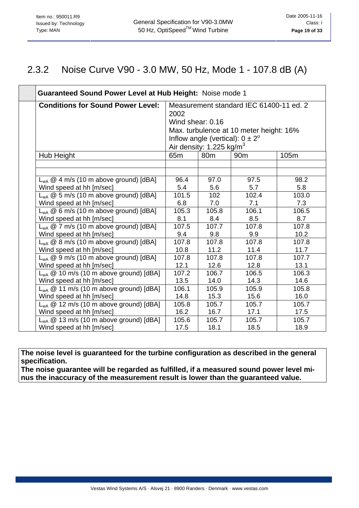### 2.3.2 Noise Curve V90 - 3.0 MW, 50 Hz, Mode 1 - 107.8 dB (A)

| Guaranteed Sound Power Level at Hub Height: Noise mode 1 |                          |                                                                                    |                                                                                    |       |  |  |  |  |  |  |
|----------------------------------------------------------|--------------------------|------------------------------------------------------------------------------------|------------------------------------------------------------------------------------|-------|--|--|--|--|--|--|
| <b>Conditions for Sound Power Level:</b>                 | 2002<br>Wind shear: 0.16 | Inflow angle (vertical): $0 \pm 2^{\circ}$<br>Air density: 1.225 kg/m <sup>3</sup> | Measurement standard IEC 61400-11 ed. 2<br>Max. turbulence at 10 meter height: 16% |       |  |  |  |  |  |  |
| Hub Height                                               | 65 <sub>m</sub>          | 80 <sub>m</sub>                                                                    | 90 <sub>m</sub>                                                                    | 105m  |  |  |  |  |  |  |
|                                                          |                          |                                                                                    |                                                                                    |       |  |  |  |  |  |  |
| $L_{WA} @ 4 m/s (10 m above ground) [dBA]$               | 96.4                     | 97.0                                                                               | 97.5                                                                               | 98.2  |  |  |  |  |  |  |
| Wind speed at hh [m/sec]                                 | 5.4                      | 5.6                                                                                | 5.7                                                                                | 5.8   |  |  |  |  |  |  |
| $L_{WA}$ @ 5 m/s (10 m above ground) [dBA]               | 101.5                    | 102                                                                                | 102.4                                                                              | 103.0 |  |  |  |  |  |  |
| Wind speed at hh [m/sec]                                 | 6.8                      | 7.0                                                                                | 7.1                                                                                | 7.3   |  |  |  |  |  |  |
| $L_{WA}$ @ 6 m/s (10 m above ground) [dBA]               | 105.3                    | 105.8                                                                              | 106.1                                                                              | 106.5 |  |  |  |  |  |  |
| Wind speed at hh [m/sec]                                 | 8.1                      | 8.4                                                                                | 8.5                                                                                | 8.7   |  |  |  |  |  |  |
| $L_{WA}$ @ 7 m/s (10 m above ground) [dBA]               | 107.5                    | 107.7                                                                              | 107.8                                                                              | 107.8 |  |  |  |  |  |  |
| Wind speed at hh [m/sec]                                 | 9.4                      | 9.8                                                                                | 9.9                                                                                | 10.2  |  |  |  |  |  |  |
| $L_{WA} @ 8 m/s (10 m above ground) [dBA]$               | 107.8                    | 107.8                                                                              | 107.8                                                                              | 107.8 |  |  |  |  |  |  |
| Wind speed at hh [m/sec]                                 | 10.8                     | 11.2                                                                               | 11.4                                                                               | 11.7  |  |  |  |  |  |  |
| $L_{WA} @ 9 m/s (10 m above ground) [dBA]$               | 107.8                    | 107.8                                                                              | 107.8                                                                              | 107.7 |  |  |  |  |  |  |
| Wind speed at hh [m/sec]                                 | 12.1                     | 12.6                                                                               | 12.8                                                                               | 13.1  |  |  |  |  |  |  |
| $L_{WA}$ @ 10 m/s (10 m above ground) [dBA]              | 107.2                    | 106.7                                                                              | 106.5                                                                              | 106.3 |  |  |  |  |  |  |
| Wind speed at hh [m/sec]                                 | 13.5                     | 14.0                                                                               | 14.3                                                                               | 14.6  |  |  |  |  |  |  |
| $L_{WA}$ @ 11 m/s (10 m above ground) [dBA]              | 106.1                    | 105.9                                                                              | 105.9                                                                              | 105.8 |  |  |  |  |  |  |
| Wind speed at hh [m/sec]                                 | 14.8                     | 15.3                                                                               | 15.6                                                                               | 16.0  |  |  |  |  |  |  |
| $L_{WA}$ @ 12 m/s (10 m above ground) [dBA]              | 105.8                    | 105.7                                                                              | 105.7                                                                              | 105.7 |  |  |  |  |  |  |
| Wind speed at hh [m/sec]                                 | 16.2                     | 16.7                                                                               | 17.1                                                                               | 17.5  |  |  |  |  |  |  |
| $L_{WA}$ @ 13 m/s (10 m above ground) [dBA]              | 105.6                    | 105.7                                                                              | 105.7                                                                              | 105.7 |  |  |  |  |  |  |
| Wind speed at hh [m/sec]                                 | 17.5                     | 18.1                                                                               | 18.5                                                                               | 18.9  |  |  |  |  |  |  |

**The noise level is guaranteed for the turbine configuration as described in the general specification.**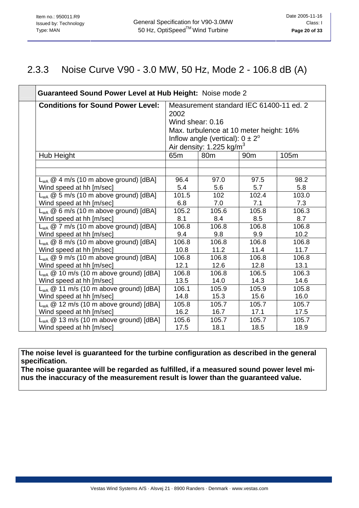### 2.3.3 Noise Curve V90 - 3.0 MW, 50 Hz, Mode 2 - 106.8 dB (A)

| Guaranteed Sound Power Level at Hub Height: Noise mode 2 |                                                 |                                            |                 |       |
|----------------------------------------------------------|-------------------------------------------------|--------------------------------------------|-----------------|-------|
| <b>Conditions for Sound Power Level:</b>                 | Measurement standard IEC 61400-11 ed. 2<br>2002 |                                            |                 |       |
|                                                          | Wind shear: 0.16                                |                                            |                 |       |
|                                                          |                                                 | Max. turbulence at 10 meter height: 16%    |                 |       |
|                                                          |                                                 | Inflow angle (vertical): $0 \pm 2^{\circ}$ |                 |       |
|                                                          |                                                 | Air density: 1.225 kg/m <sup>3</sup>       |                 |       |
| Hub Height                                               | 65 <sub>m</sub>                                 | 80 <sub>m</sub>                            | 90 <sub>m</sub> | 105m  |
|                                                          |                                                 |                                            |                 |       |
|                                                          |                                                 |                                            |                 |       |
| $L_{WA} @ 4 m/s (10 m above ground) [dBA]$               | 96.4                                            | 97.0                                       | 97.5            | 98.2  |
| Wind speed at hh [m/sec]                                 | 5.4                                             | 5.6                                        | 5.7             | 5.8   |
| $L_{WA}$ @ 5 m/s (10 m above ground) [dBA]               | 101.5                                           | 102                                        | 102.4           | 103.0 |
| Wind speed at hh [m/sec]                                 | 6.8                                             | 7.0                                        | 7.1             | 7.3   |
| $L_{WA}$ @ 6 m/s (10 m above ground) [dBA]               | 105.2                                           | 105.6                                      | 105.8           | 106.3 |
| Wind speed at hh [m/sec]                                 | 8.1                                             | 8.4                                        | 8.5             | 8.7   |
| $L_{WA}$ @ 7 m/s (10 m above ground) [dBA]               | 106.8                                           | 106.8                                      | 106.8           | 106.8 |
| Wind speed at hh [m/sec]                                 | 9.4                                             | 9.8                                        | 9.9             | 10.2  |
| $L_{WA}$ @ 8 m/s (10 m above ground) [dBA]               | 106.8                                           | 106.8                                      | 106.8           | 106.8 |
| Wind speed at hh [m/sec]                                 | 10.8                                            | 11.2                                       | 11.4            | 11.7  |
| $L_{WA} @ 9 m/s (10 m above ground) [dBA]$               | 106.8                                           | 106.8                                      | 106.8           | 106.8 |
| Wind speed at hh [m/sec]                                 | 12.1                                            | 12.6                                       | 12.8            | 13.1  |
| $L_{WA}$ @ 10 m/s (10 m above ground) [dBA]              | 106.8                                           | 106.8                                      | 106.5           | 106.3 |
| Wind speed at hh [m/sec]                                 | 13.5                                            | 14.0                                       | 14.3            | 14.6  |
| $L_{WA}$ @ 11 m/s (10 m above ground) [dBA]              | 106.1                                           | 105.9                                      | 105.9           | 105.8 |
| Wind speed at hh [m/sec]                                 | 14.8                                            | 15.3                                       | 15.6            | 16.0  |
| $L_{WA}$ @ 12 m/s (10 m above ground) [dBA]              | 105.8                                           | 105.7                                      | 105.7           | 105.7 |
| Wind speed at hh [m/sec]                                 | 16.2                                            | 16.7                                       | 17.1            | 17.5  |
| $L_{WA}$ @ 13 m/s (10 m above ground) [dBA]              | 105.6                                           | 105.7                                      | 105.7           | 105.7 |
| Wind speed at hh [m/sec]                                 | 17.5                                            | 18.1                                       | 18.5            | 18.9  |

**The noise level is guaranteed for the turbine configuration as described in the general specification.**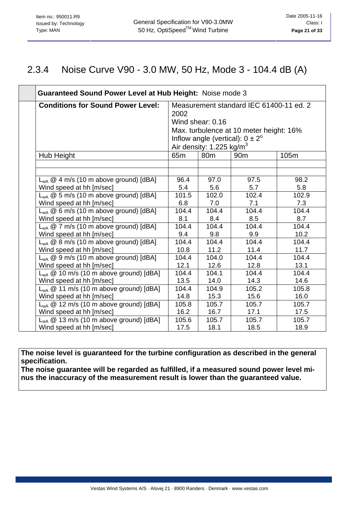### 2.3.4 Noise Curve V90 - 3.0 MW, 50 Hz, Mode 3 - 104.4 dB (A)

| Guaranteed Sound Power Level at Hub Height: Noise mode 3                            |                 |                                      |                                            |       |
|-------------------------------------------------------------------------------------|-----------------|--------------------------------------|--------------------------------------------|-------|
| <b>Conditions for Sound Power Level:</b><br>Measurement standard IEC 61400-11 ed. 2 |                 |                                      |                                            |       |
|                                                                                     | 2002            |                                      |                                            |       |
|                                                                                     |                 | Wind shear: 0.16                     |                                            |       |
|                                                                                     |                 |                                      | Max. turbulence at 10 meter height: 16%    |       |
|                                                                                     |                 |                                      | Inflow angle (vertical): $0 \pm 2^{\circ}$ |       |
|                                                                                     |                 | Air density: 1.225 kg/m <sup>3</sup> |                                            |       |
| Hub Height                                                                          | 65 <sub>m</sub> | 80 <sub>m</sub>                      | 90 <sub>m</sub>                            | 105m  |
|                                                                                     |                 |                                      |                                            |       |
|                                                                                     |                 |                                      |                                            |       |
| $L_{WA} @ 4 m/s (10 m above ground) [dBA]$                                          | 96.4            | 97.0                                 | 97.5                                       | 98.2  |
| Wind speed at hh [m/sec]                                                            | 5.4             | 5.6                                  | 5.7                                        | 5.8   |
| $L_{WA}$ @ 5 m/s (10 m above ground) [dBA]                                          | 101.5           | 102.0                                | 102.4                                      | 102.9 |
| Wind speed at hh [m/sec]                                                            | 6.8             | 7.0                                  | 7.1                                        | 7.3   |
| $L_{WA} @ 6 m/s (10 m above ground) [dBA]$                                          | 104.4           | 104.4                                | 104.4                                      | 104.4 |
| Wind speed at hh [m/sec]                                                            | 8.1             | 8.4                                  | 8.5                                        | 8.7   |
| $L_{WA}$ @ 7 m/s (10 m above ground) [dBA]                                          | 104.4           | 104.4                                | 104.4                                      | 104.4 |
| Wind speed at hh [m/sec]                                                            | 9.4             | 9.8                                  | 9.9                                        | 10.2  |
| $L_{WA}$ @ 8 m/s (10 m above ground) [dBA]                                          | 104.4           | 104.4                                | 104.4                                      | 104.4 |
| Wind speed at hh [m/sec]                                                            | 10.8            | 11.2                                 | 11.4                                       | 11.7  |
| $L_{WA}$ @ 9 m/s (10 m above ground) [dBA]                                          | 104.4           | 104.0                                | 104.4                                      | 104.4 |
| Wind speed at hh [m/sec]                                                            | 12.1            | 12.6                                 | 12.8                                       | 13.1  |
| $L_{WA}$ @ 10 m/s (10 m above ground) [dBA]                                         | 104.4           | 104.1                                | 104.4                                      | 104.4 |
| Wind speed at hh [m/sec]                                                            | 13.5            | 14.0                                 | 14.3                                       | 14.6  |
| $L_{WA}$ @ 11 m/s (10 m above ground) [dBA]                                         | 104.4           | 104.9                                | 105.2                                      | 105.8 |
| Wind speed at hh [m/sec]                                                            | 14.8            | 15.3                                 | 15.6                                       | 16.0  |
| $L_{WA}$ @ 12 m/s (10 m above ground) [dBA]                                         | 105.8           | 105.7                                | 105.7                                      | 105.7 |
| Wind speed at hh [m/sec]                                                            | 16.2            | 16.7                                 | 17.1                                       | 17.5  |
| $L_{WA}$ @ 13 m/s (10 m above ground) [dBA]                                         | 105.6           | 105.7                                | 105.7                                      | 105.7 |
| Wind speed at hh [m/sec]                                                            | 17.5            | 18.1                                 | 18.5                                       | 18.9  |

**The noise level is guaranteed for the turbine configuration as described in the general specification.**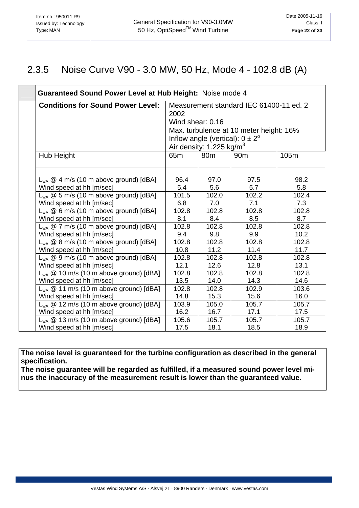### 2.3.5 Noise Curve V90 - 3.0 MW, 50 Hz, Mode 4 - 102.8 dB (A)

| Guaranteed Sound Power Level at Hub Height: Noise mode 4 |                                                                                                                                                                                                      |                 |                 |       |
|----------------------------------------------------------|------------------------------------------------------------------------------------------------------------------------------------------------------------------------------------------------------|-----------------|-----------------|-------|
| <b>Conditions for Sound Power Level:</b>                 | Measurement standard IEC 61400-11 ed. 2<br>2002<br>Wind shear: 0.16<br>Max. turbulence at 10 meter height: 16%<br>Inflow angle (vertical): $0 \pm 2^{\circ}$<br>Air density: 1.225 kg/m <sup>3</sup> |                 |                 |       |
| Hub Height                                               | 65 <sub>m</sub>                                                                                                                                                                                      | 80 <sub>m</sub> | 90 <sub>m</sub> | 105m  |
|                                                          |                                                                                                                                                                                                      |                 |                 |       |
|                                                          |                                                                                                                                                                                                      |                 |                 |       |
| $L_{WA} @ 4 m/s (10 m above ground) [dBA]$               | 96.4                                                                                                                                                                                                 | 97.0            | 97.5            | 98.2  |
| Wind speed at hh [m/sec]                                 | 5.4                                                                                                                                                                                                  | 5.6             | 5.7             | 5.8   |
| $L_{WA}$ @ 5 m/s (10 m above ground) [dBA]               | 101.5                                                                                                                                                                                                | 102.0           | 102.2           | 102.4 |
| Wind speed at hh [m/sec]                                 | 6.8                                                                                                                                                                                                  | 7.0             | 7.1             | 7.3   |
| $L_{WA}$ @ 6 m/s (10 m above ground) [dBA]               | 102.8                                                                                                                                                                                                | 102.8           | 102.8           | 102.8 |
| Wind speed at hh [m/sec]                                 | 8.1                                                                                                                                                                                                  | 8.4             | 8.5             | 8.7   |
| $L_{WA}$ @ 7 m/s (10 m above ground) [dBA]               | 102.8                                                                                                                                                                                                | 102.8           | 102.8           | 102.8 |
| Wind speed at hh [m/sec]                                 | 9.4                                                                                                                                                                                                  | 9.8             | 9.9             | 10.2  |
| $L_{WA} @ 8 m/s (10 m above ground) [dBA]$               | 102.8                                                                                                                                                                                                | 102.8           | 102.8           | 102.8 |
| Wind speed at hh [m/sec]                                 | 10.8                                                                                                                                                                                                 | 11.2            | 11.4            | 11.7  |
| $L_{WA} @ 9 m/s (10 m above ground) [dBA]$               | 102.8                                                                                                                                                                                                | 102.8           | 102.8           | 102.8 |
| Wind speed at hh [m/sec]                                 | 12.1                                                                                                                                                                                                 | 12.6            | 12.8            | 13.1  |
| $L_{WA}$ @ 10 m/s (10 m above ground) [dBA]              | 102.8                                                                                                                                                                                                | 102.8           | 102.8           | 102.8 |
| Wind speed at hh [m/sec]                                 | 13.5                                                                                                                                                                                                 | 14.0            | 14.3            | 14.6  |
| $L_{WA}$ @ 11 m/s (10 m above ground) [dBA]              | 102.8                                                                                                                                                                                                | 102.8           | 102.9           | 103.6 |
| Wind speed at hh [m/sec]                                 | 14.8                                                                                                                                                                                                 | 15.3            | 15.6            | 16.0  |
| $L_{WA}$ @ 12 m/s (10 m above ground) [dBA]              | 103.9                                                                                                                                                                                                | 105.0           | 105.7           | 105.7 |
| Wind speed at hh [m/sec]                                 | 16.2                                                                                                                                                                                                 | 16.7            | 17.1            | 17.5  |
| $L_{WA}$ @ 13 m/s (10 m above ground) [dBA]              | 105.6                                                                                                                                                                                                | 105.7           | 105.7           | 105.7 |
| Wind speed at hh [m/sec]                                 | 17.5                                                                                                                                                                                                 | 18.1            | 18.5            | 18.9  |

**The noise level is guaranteed for the turbine configuration as described in the general specification.**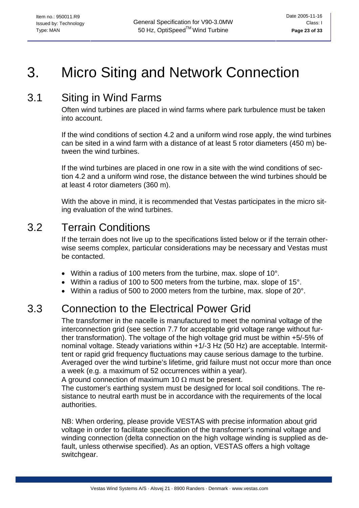# <span id="page-22-0"></span>3. Micro Siting and Network Connection

# 3.1 Siting in Wind Farms

Often wind turbines are placed in wind farms where park turbulence must be taken into account.

If the wind conditions of section 4.2 and a uniform wind rose apply, the wind turbines can be sited in a wind farm with a distance of at least 5 rotor diameters (450 m) between the wind turbines.

If the wind turbines are placed in one row in a site with the wind conditions of section 4.2 and a uniform wind rose, the distance between the wind turbines should be at least 4 rotor diameters (360 m).

With the above in mind, it is recommended that Vestas participates in the micro siting evaluation of the wind turbines.

## 3.2 Terrain Conditions

If the terrain does not live up to the specifications listed below or if the terrain otherwise seems complex, particular considerations may be necessary and Vestas must be contacted.

- Within a radius of 100 meters from the turbine, max. slope of 10°.
- Within a radius of 100 to 500 meters from the turbine, max. slope of 15°.
- Within a radius of 500 to 2000 meters from the turbine, max. slope of 20°.

# 3.3 Connection to the Electrical Power Grid

The transformer in the nacelle is manufactured to meet the nominal voltage of the interconnection grid (see section 7.7 for acceptable grid voltage range without further transformation). The voltage of the high voltage grid must be within +5/-5% of nominal voltage. Steady variations within +1/-3 Hz (50 Hz) are acceptable. Intermittent or rapid grid frequency fluctuations may cause serious damage to the turbine. Averaged over the wind turbine's lifetime, grid failure must not occur more than once a week (e.g. a maximum of 52 occurrences within a year).

A ground connection of maximum 10  $\Omega$  must be present.

The customer's earthing system must be designed for local soil conditions. The resistance to neutral earth must be in accordance with the requirements of the local authorities.

NB: When ordering, please provide VESTAS with precise information about grid voltage in order to facilitate specification of the transformer's nominal voltage and winding connection (delta connection on the high voltage winding is supplied as default, unless otherwise specified). As an option, VESTAS offers a high voltage switchgear.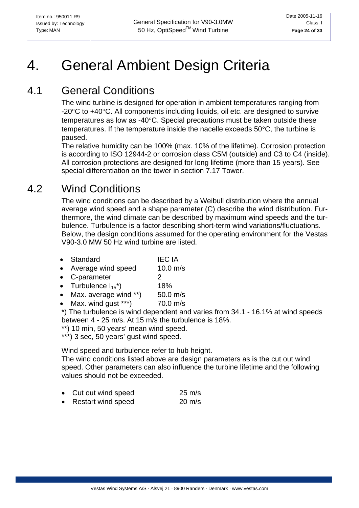# <span id="page-23-0"></span>4. General Ambient Design Criteria

# 4.1 General Conditions

The wind turbine is designed for operation in ambient temperatures ranging from -20°C to +40°C. All components including liquids, oil etc. are designed to survive temperatures as low as -40°C. Special precautions must be taken outside these temperatures. If the temperature inside the nacelle exceeds 50°C, the turbine is paused.

The relative humidity can be 100% (max. 10% of the lifetime). Corrosion protection is according to ISO 12944-2 or corrosion class C5M (outside) and C3 to C4 (inside). All corrosion protections are designed for long lifetime (more than 15 years). See special differentiation on the tower in section 7.17 Tower.

# 4.2 Wind Conditions

The wind conditions can be described by a Weibull distribution where the annual average wind speed and a shape parameter (C) describe the wind distribution. Furthermore, the wind climate can be described by maximum wind speeds and the turbulence. Turbulence is a factor describing short-term wind variations/fluctuations. Below, the design conditions assumed for the operating environment for the Vestas V90-3.0 MW 50 Hz wind turbine are listed.

- Standard **IEC IA**
- Average wind speed 10.0 m/s
- C-parameter 2
- Turbulence  $I_{15}^*$  18%
- Max. average wind \*\*) 50.0 m/s
- Max. wind gust  $***$ ) 70.0 m/s

\*) The turbulence is wind dependent and varies from 34.1 - 16.1% at wind speeds between 4 - 25 m/s. At 15 m/s the turbulence is 18%.

- \*\*) 10 min, 50 years' mean wind speed.
- \*\*\*) 3 sec, 50 years' gust wind speed.

Wind speed and turbulence refer to hub height.

The wind conditions listed above are design parameters as is the cut out wind speed. Other parameters can also influence the turbine lifetime and the following values should not be exceeded.

|  | Cut out wind speed | $25 \text{ m/s}$ |
|--|--------------------|------------------|
|--|--------------------|------------------|

Restart wind speed 20 m/s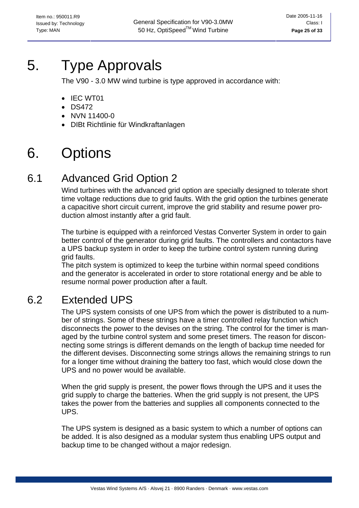# <span id="page-24-0"></span>5. Type Approvals

The V90 - 3.0 MW wind turbine is type approved in accordance with:

- IEC WT01
- DS472
- NVN 11400-0
- DIBt Richtlinie für Windkraftanlagen

# 6. Options

# 6.1 Advanced Grid Option 2

Wind turbines with the advanced grid option are specially designed to tolerate short time voltage reductions due to grid faults. With the grid option the turbines generate a capacitive short circuit current, improve the grid stability and resume power production almost instantly after a grid fault.

The turbine is equipped with a reinforced Vestas Converter System in order to gain better control of the generator during grid faults. The controllers and contactors have a UPS backup system in order to keep the turbine control system running during grid faults.

The pitch system is optimized to keep the turbine within normal speed conditions and the generator is accelerated in order to store rotational energy and be able to resume normal power production after a fault.

# 6.2 Extended UPS

The UPS system consists of one UPS from which the power is distributed to a number of strings. Some of these strings have a timer controlled relay function which disconnects the power to the devises on the string. The control for the timer is managed by the turbine control system and some preset timers. The reason for disconnecting some strings is different demands on the length of backup time needed for the different devises. Disconnecting some strings allows the remaining strings to run for a longer time without draining the battery too fast, which would close down the UPS and no power would be available.

When the grid supply is present, the power flows through the UPS and it uses the grid supply to charge the batteries. When the grid supply is not present, the UPS takes the power from the batteries and supplies all components connected to the UPS.

The UPS system is designed as a basic system to which a number of options can be added. It is also designed as a modular system thus enabling UPS output and backup time to be changed without a major redesign.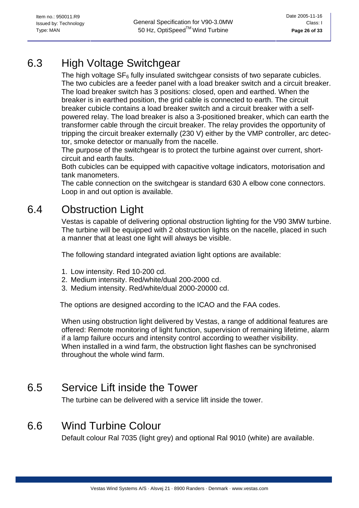# <span id="page-25-0"></span>6.3 High Voltage Switchgear

The high voltage  $SF_6$  fully insulated switchgear consists of two separate cubicles. The two cubicles are a feeder panel with a load breaker switch and a circuit breaker. The load breaker switch has 3 positions: closed, open and earthed. When the breaker is in earthed position, the grid cable is connected to earth. The circuit breaker cubicle contains a load breaker switch and a circuit breaker with a selfpowered relay. The load breaker is also a 3-positioned breaker, which can earth the transformer cable through the circuit breaker. The relay provides the opportunity of tripping the circuit breaker externally (230 V) either by the VMP controller, arc detector, smoke detector or manually from the nacelle.

The purpose of the switchgear is to protect the turbine against over current, shortcircuit and earth faults.

Both cubicles can be equipped with capacitive voltage indicators, motorisation and tank manometers.

The cable connection on the switchgear is standard 630 A elbow cone connectors. Loop in and out option is available.

# 6.4 Obstruction Light

Vestas is capable of delivering optional obstruction lighting for the V90 3MW turbine. The turbine will be equipped with 2 obstruction lights on the nacelle, placed in such a manner that at least one light will always be visible.

The following standard integrated aviation light options are available:

- 1. Low intensity. Red 10-200 cd.
- 2. Medium intensity. Red/white/dual 200-2000 cd.
- 3. Medium intensity. Red/white/dual 2000-20000 cd.

The options are designed according to the ICAO and the FAA codes.

When using obstruction light delivered by Vestas, a range of additional features are offered: Remote monitoring of light function, supervision of remaining lifetime, alarm if a lamp failure occurs and intensity control according to weather visibility. When installed in a wind farm, the obstruction light flashes can be synchronised throughout the whole wind farm.

# 6.5 Service Lift inside the Tower

The turbine can be delivered with a service lift inside the tower.

## 6.6 Wind Turbine Colour

Default colour Ral 7035 (light grey) and optional Ral 9010 (white) are available.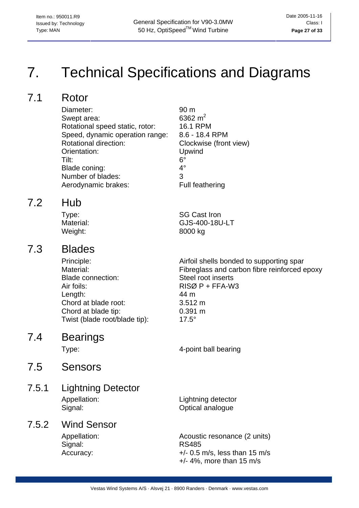# <span id="page-26-0"></span>7. Technical Specifications and Diagrams

# 7.1 Rotor

Diameter: 90 m<br>Swept area: 6362 m<sup>2</sup> Swept area: Rotational speed static, rotor: 16.1 RPM Speed, dynamic operation range: 8.6 - 18.4 RPM Rotational direction: Clockwise (front view) Orientation: Upwind Tilt: 6° Blade coning: 4° Number of blades: 3 Aerodynamic brakes: Full feathering

## 7.2 Hub

Type: SG Cast Iron Material: GJS-400-18U-LT Weight: 8000 kg

## 7.3 Blades

Blade connection: Steel root inserts Air foils: RISØ P + FFA-W3 Length: 44 m Chord at blade root: 3.512 m Chord at blade tip: 0.391 m Twist (blade root/blade tip): 17.5°

Principle: Airfoil shells bonded to supporting spar Material: Fibreglass and carbon fibre reinforced epoxy

### 7.4 Bearings

Type: 4-point ball bearing

## 7.5 Sensors

#### 7.5.1 Lightning Detector Appellation: Lightning detector Signal: Contract Contract Contract Contract Contract Contract Contract Contract Contract Contract Contract Contract Contract Contract Contract Contract Contract Contract Contract Contract Contract Contract Contract Contrac

### 7.5.2 Wind Sensor

Signal: RS485

Appellation: Acoustic resonance (2 units) Accuracy:  $+/- 0.5$  m/s, less than 15 m/s +/- 4%, more than 15 m/s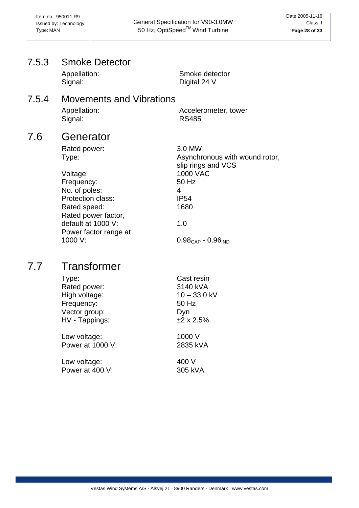### <span id="page-27-0"></span>7.5.3 Smoke Detector Appellation: Smoke detector Signal: Digital 24 V 7.5.4 Movements and Vibrations Appellation: Accelerometer, tower Signal: RS485 7.6 Generator Rated power: 3.0 MW Type: Type: Type: Type: Type: Type: Type: Type: Type: Type: Type: Type: Type: Type: Type: Type: Type: Type: Type: Type: Type: Type: Type: Type: Type: Type: Type: Type: Type: Type: Type: Type: Type: Type: Type: Type: Type: slip rings and VCS Voltage: 1000 VAC Frequency: 50 Hz No. of poles: 4 Protection class: IP54 Rated speed: 1680 Rated power factor, default at 1000 V: 1.0 Power factor range at 1000 V:  $0.98_{\text{CAP}} - 0.96_{\text{IND}}$ 7.7 Transformer Type: Cast resin Rated power: 3140 kVA High voltage: 10 – 33,0 kV Frequency: 50 Hz Vector group: Dyn  $HV - Tappings:$   $±2 \times 2.5\%$

Low voltage: 1000 V Power at 1000 V: 2835 kVA

Low voltage: 400 V Power at 400 V: 305 kVA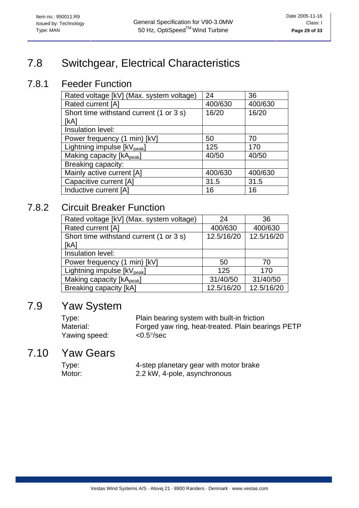# <span id="page-28-0"></span>7.8 Switchgear, Electrical Characteristics

### 7.8.1 Feeder Function

| Rated voltage [kV] (Max. system voltage) | 24      | 36      |
|------------------------------------------|---------|---------|
| Rated current [A]                        | 400/630 | 400/630 |
| Short time withstand current (1 or 3 s)  | 16/20   | 16/20   |
| [kA]                                     |         |         |
| Insulation level:                        |         |         |
| Power frequency (1 min) [kV]             | 50      | 70      |
| Lightning impulse [kV <sub>peak</sub> ]  | 125     | 170     |
| Making capacity [kApeak]                 | 40/50   | 40/50   |
| Breaking capacity:                       |         |         |
| Mainly active current [A]                | 400/630 | 400/630 |
| Capacitive current [A]                   | 31.5    | 31.5    |
| Inductive current [A]                    | 16      | 16      |

### 7.8.2 Circuit Breaker Function

| Rated voltage [kV] (Max. system voltage) | 24         | 36         |
|------------------------------------------|------------|------------|
| Rated current [A]                        | 400/630    | 400/630    |
| Short time withstand current (1 or 3 s)  | 12.5/16/20 | 12.5/16/20 |
| [kA]                                     |            |            |
| Insulation level:                        |            |            |
| Power frequency (1 min) [kV]             | 50         | 70         |
| Lightning impulse [kV <sub>peak</sub> ]  | 125        | 170        |
| Making capacity [kA <sub>peak</sub> ]    | 31/40/50   | 31/40/50   |
| Breaking capacity [kA]                   | 12.5/16/20 | 12.5/16/20 |

## 7.9 Yaw System

Type: Plain bearing system with built-in friction Material: Forged yaw ring, heat-treated. Plain bearings PETP Yawing speed: <0.5°/sec

## 7.10 Yaw Gears

| Type:  | 4-step planetary gear with motor brake |
|--------|----------------------------------------|
| Motor: | 2.2 kW, 4-pole, asynchronous           |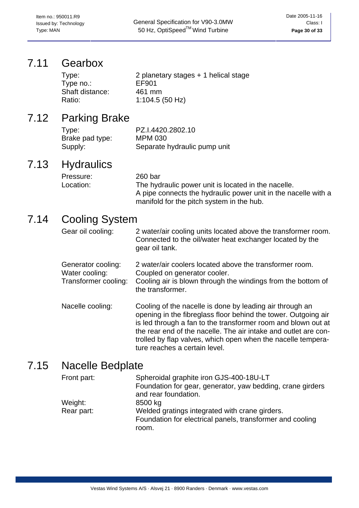<span id="page-29-0"></span>Issued by: Technology **CHECAL Specification for V90-3.0MW** Class: I Class: I Type: MAN **Page 30 of 33 Fig. 20 Set 50 Hz, OptiSpeed<sup>TM</sup> Wind Turbine Page 30 of 33 Page 30 of 33** 

### 7.11 Gearbox

| Type:           | 2 planetary stages $+$ 1 helical stage |
|-----------------|----------------------------------------|
| Type no.:       | EF901                                  |
| Shaft distance: | 461 mm                                 |
| Ratio:          | 1:104.5(50 Hz)                         |

## 7.12 Parking Brake

| Type:           | PZ.I.4420.2802.10            |
|-----------------|------------------------------|
| Brake pad type: | <b>MPM 030</b>               |
| Supply:         | Separate hydraulic pump unit |

## 7.13 Hydraulics

| Pressure: | 260 bar                                                        |
|-----------|----------------------------------------------------------------|
| Location: | The hydraulic power unit is located in the nacelle.            |
|           | A pipe connects the hydraulic power unit in the nacelle with a |
|           | manifold for the pitch system in the hub.                      |

## 7.14 Cooling System

| Gear oil cooling: | 2 water/air cooling units located above the transformer room. |
|-------------------|---------------------------------------------------------------|
|                   | Connected to the oil/water heat exchanger located by the      |
|                   | gear oil tank.                                                |

Generator cooling: 2 water/air coolers located above the transformer room. Water cooling: Coupled on generator cooler. Transformer cooling: Cooling air is blown through the windings from the bottom of the transformer.

Nacelle cooling: Cooling of the nacelle is done by leading air through an opening in the fibreglass floor behind the tower. Outgoing air is led through a fan to the transformer room and blown out at the rear end of the nacelle. The air intake and outlet are controlled by flap valves, which open when the nacelle temperature reaches a certain level.

## 7.15 Nacelle Bedplate

| Front part: | Spheroidal graphite iron GJS-400-18U-LT                    |
|-------------|------------------------------------------------------------|
|             | Foundation for gear, generator, yaw bedding, crane girders |
|             | and rear foundation.                                       |
| Weight:     | 8500 kg                                                    |
| Rear part:  | Welded gratings integrated with crane girders.             |
|             | Foundation for electrical panels, transformer and cooling  |
|             | room.                                                      |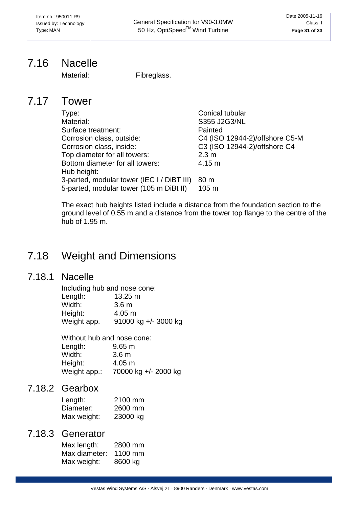## <span id="page-30-0"></span>7.16 Nacelle

Material: Fibreglass.

### 7.17 Tower

| Type:                                      | Conical tubular                |
|--------------------------------------------|--------------------------------|
| Material:                                  | S355 J2G3/NL                   |
| Surface treatment:                         | Painted                        |
| Corrosion class, outside:                  | C4 (ISO 12944-2)/offshore C5-M |
| Corrosion class, inside:                   | C3 (ISO 12944-2)/offshore C4   |
| Top diameter for all towers:               | 2.3 <sub>m</sub>               |
| Bottom diameter for all towers:            | 4.15 m                         |
| Hub height:                                |                                |
| 3-parted, modular tower (IEC I / DiBT III) | 80 m                           |
| 5-parted, modular tower (105 m DiBt II)    | 105 <sub>m</sub>               |

The exact hub heights listed include a distance from the foundation section to the ground level of 0.55 m and a distance from the tower top flange to the centre of the hub of 1.95 m.

# 7.18 Weight and Dimensions

### 7.18.1 Nacelle

| Including hub and nose cone: |                      |
|------------------------------|----------------------|
| Length:                      | $13.25 \text{ m}$    |
| Width:                       | 3.6 <sub>m</sub>     |
| Height:                      | 4.05 m               |
| Weight app.                  | 91000 kg +/- 3000 kg |

Without hub and nose cone:

| $9.65 \text{ m}$     |
|----------------------|
| 3.6 <sub>m</sub>     |
| $4.05 \; m$          |
| 70000 kg +/- 2000 kg |
|                      |

### 7.18.2 Gearbox

| Length:     | 2100 mm  |
|-------------|----------|
| Diameter:   | 2600 mm  |
| Max weight: | 23000 kg |

### 7.18.3 Generator

| Max length:   | 2800 mm |
|---------------|---------|
| Max diameter: | 1100 mm |
| Max weight:   | 8600 kg |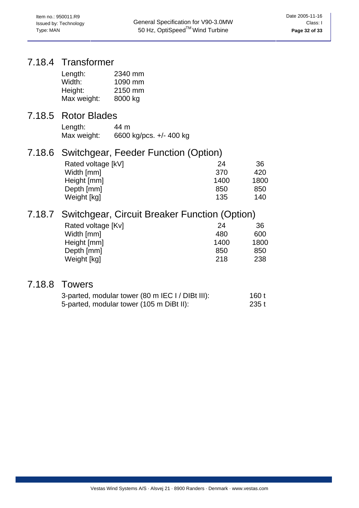### 7.18.4 Transformer

| Length:     | 2340 mm |
|-------------|---------|
| Width:      | 1090 mm |
| Height:     | 2150 mm |
| Max weight: | 8000 kg |

### 7.18.5 Rotor Blades

| Length:     | 44 m                    |
|-------------|-------------------------|
| Max weight: | 6600 kg/pcs. +/- 400 kg |

## 7.18.6 Switchgear, Feeder Function (Option)

| 24   | 36   |
|------|------|
| 370  | 420  |
| 1400 | 1800 |
| 850  | 850  |
| 135  | 140  |
|      |      |

## 7.18.7 Switchgear, Circuit Breaker Function (Option)

| Rated voltage [Kv] | 24   | 36   |
|--------------------|------|------|
| Width [mm]         | 480  | 600  |
| Height [mm]        | 1400 | 1800 |
| Depth [mm]         | 850  | 850  |
| Weight [kg]        | 218  | 238  |

## 7.18.8 Towers

| 3-parted, modular tower (80 m IEC I / DIBt III): | 160 t |
|--------------------------------------------------|-------|
| 5-parted, modular tower (105 m DiBt II):         | 235 t |